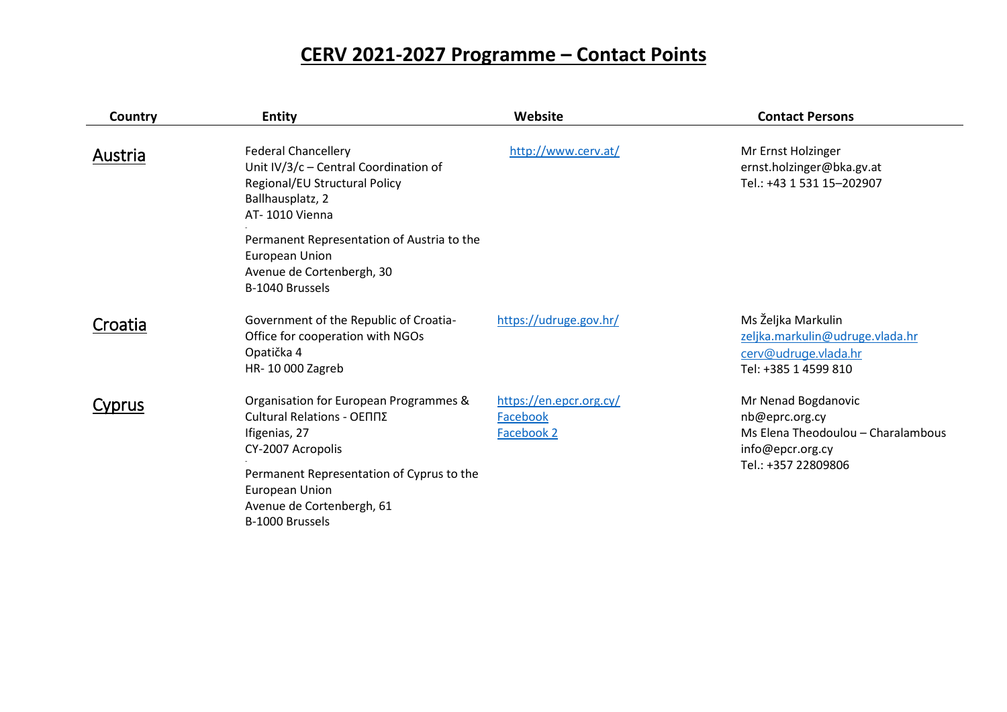## **CERV 2021-2027 Programme – Contact Points**

| Country | <b>Entity</b>                                                                                                                                | Website                                           | <b>Contact Persons</b>                                                                                |
|---------|----------------------------------------------------------------------------------------------------------------------------------------------|---------------------------------------------------|-------------------------------------------------------------------------------------------------------|
| Austria | <b>Federal Chancellery</b><br>Unit $IV/3/c$ – Central Coordination of<br>Regional/EU Structural Policy<br>Ballhausplatz, 2<br>AT-1010 Vienna | http://www.cerv.at/                               | Mr Ernst Holzinger<br>ernst.holzinger@bka.gv.at<br>Tel.: +43 1 531 15-202907                          |
|         | Permanent Representation of Austria to the<br>European Union<br>Avenue de Cortenbergh, 30<br>B-1040 Brussels                                 |                                                   |                                                                                                       |
| Croatia | Government of the Republic of Croatia-<br>Office for cooperation with NGOs<br>Opatička 4<br>HR-10 000 Zagreb                                 | https://udruge.gov.hr/                            | Ms Željka Markulin<br>zeljka.markulin@udruge.vlada.hr<br>cerv@udruge.vlada.hr<br>Tel: +385 1 4599 810 |
| Cyprus  | Organisation for European Programmes &<br>Cultural Relations - ΟΕΠΠΣ<br>Ifigenias, 27<br>CY-2007 Acropolis                                   | https://en.epcr.org.cy/<br>Facebook<br>Facebook 2 | Mr Nenad Bogdanovic<br>nb@eprc.org.cy<br>Ms Elena Theodoulou - Charalambous<br>info@epcr.org.cy       |
|         | Permanent Representation of Cyprus to the<br>European Union<br>Avenue de Cortenbergh, 61<br>B-1000 Brussels                                  |                                                   | Tel.: +357 22809806                                                                                   |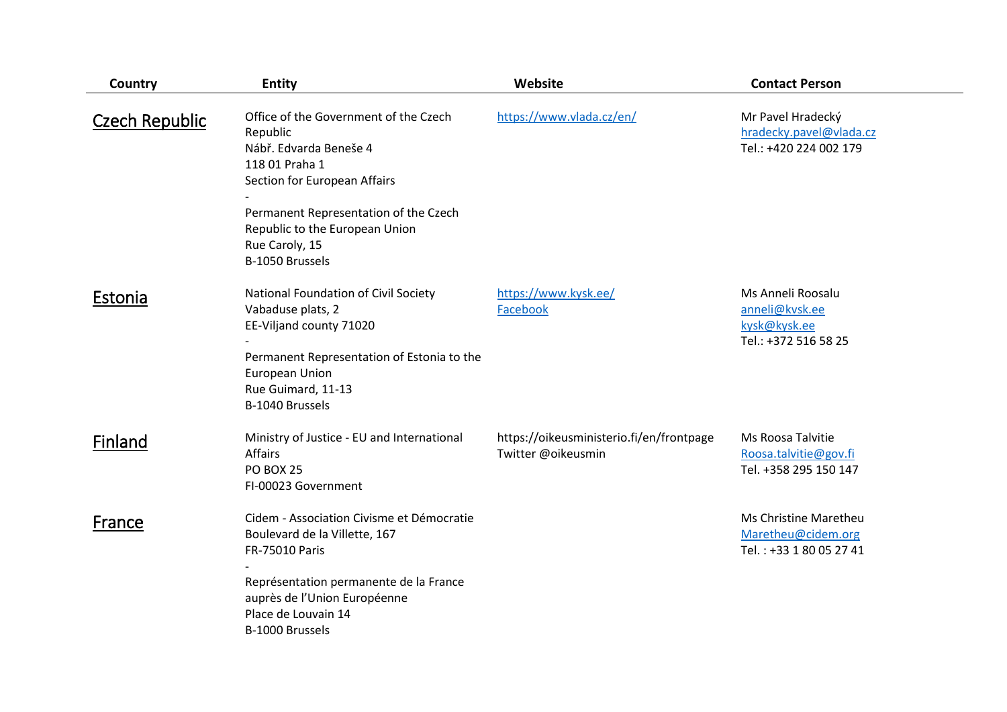| Country               | <b>Entity</b>                                                                                                                                                                                                                                 | Website                                                        | <b>Contact Person</b>                                                       |
|-----------------------|-----------------------------------------------------------------------------------------------------------------------------------------------------------------------------------------------------------------------------------------------|----------------------------------------------------------------|-----------------------------------------------------------------------------|
| <b>Czech Republic</b> | Office of the Government of the Czech<br>Republic<br>Nábř. Edvarda Beneše 4<br>118 01 Praha 1<br>Section for European Affairs<br>Permanent Representation of the Czech<br>Republic to the European Union<br>Rue Caroly, 15<br>B-1050 Brussels | https://www.vlada.cz/en/                                       | Mr Pavel Hradecký<br>hradecky.pavel@vlada.cz<br>Tel.: +420 224 002 179      |
| Estonia               | National Foundation of Civil Society<br>Vabaduse plats, 2<br>EE-Viljand county 71020<br>Permanent Representation of Estonia to the<br><b>European Union</b><br>Rue Guimard, 11-13<br>B-1040 Brussels                                          | https://www.kysk.ee/<br>Facebook                               | Ms Anneli Roosalu<br>anneli@kvsk.ee<br>kysk@kysk.ee<br>Tel.: +372 516 58 25 |
| Finland               | Ministry of Justice - EU and International<br><b>Affairs</b><br><b>PO BOX 25</b><br>FI-00023 Government                                                                                                                                       | https://oikeusministerio.fi/en/frontpage<br>Twitter @oikeusmin | Ms Roosa Talvitie<br>Roosa.talvitie@gov.fi<br>Tel. +358 295 150 147         |
| France                | Cidem - Association Civisme et Démocratie<br>Boulevard de la Villette, 167<br>FR-75010 Paris<br>Représentation permanente de la France<br>auprès de l'Union Européenne<br>Place de Louvain 14<br>B-1000 Brussels                              |                                                                | Ms Christine Maretheu<br>Maretheu@cidem.org<br>Tel.: +33 1 80 05 27 41      |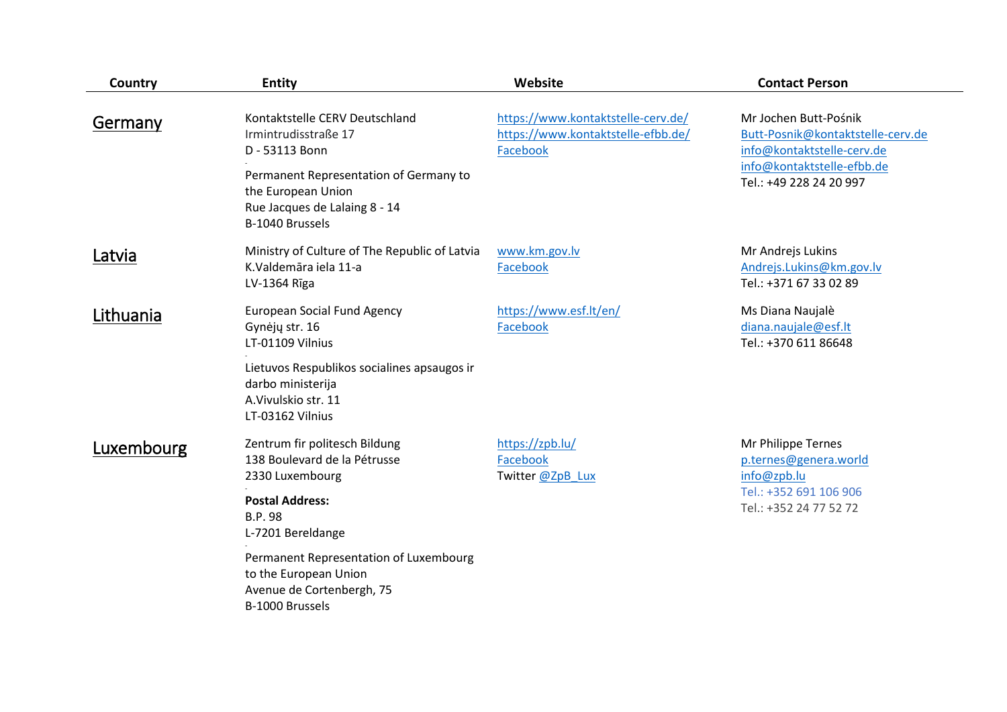| Country          | <b>Entity</b>                                                                                                                                                                                | Website                                                                              | <b>Contact Person</b>                                                                                                                             |
|------------------|----------------------------------------------------------------------------------------------------------------------------------------------------------------------------------------------|--------------------------------------------------------------------------------------|---------------------------------------------------------------------------------------------------------------------------------------------------|
| <b>Germany</b>   | Kontaktstelle CERV Deutschland<br>Irmintrudisstraße 17<br>D - 53113 Bonn<br>Permanent Representation of Germany to<br>the European Union<br>Rue Jacques de Lalaing 8 - 14<br>B-1040 Brussels | https://www.kontaktstelle-cerv.de/<br>https://www.kontaktstelle-efbb.de/<br>Facebook | Mr Jochen Butt-Pośnik<br>Butt-Posnik@kontaktstelle-cerv.de<br>info@kontaktstelle-cerv.de<br>info@kontaktstelle-efbb.de<br>Tel.: +49 228 24 20 997 |
| <b>Latvia</b>    | Ministry of Culture of The Republic of Latvia<br>K.Valdemāra iela 11-a<br>LV-1364 Rīga                                                                                                       | www.km.gov.lv<br>Facebook                                                            | Mr Andrejs Lukins<br>Andrejs.Lukins@km.gov.lv<br>Tel.: +371 67 33 02 89                                                                           |
| <b>Lithuania</b> | <b>European Social Fund Agency</b><br>Gynėjų str. 16<br>LT-01109 Vilnius<br>Lietuvos Respublikos socialines apsaugos ir<br>darbo ministerija<br>A. Vivulskio str. 11<br>LT-03162 Vilnius     | https://www.esf.lt/en/<br>Facebook                                                   | Ms Diana Naujalè<br>diana.naujale@esf.lt<br>Tel.: +370 611 86648                                                                                  |
| Luxembourg       | Zentrum fir politesch Bildung<br>138 Boulevard de la Pétrusse<br>2330 Luxembourg<br><b>Postal Address:</b><br><b>B.P.98</b><br>L-7201 Bereldange                                             | https://zpb.lu/<br>Facebook<br>Twitter @ZpB Lux                                      | Mr Philippe Ternes<br>p.ternes@genera.world<br>info@zpb.lu<br>Tel.: +352 691 106 906<br>Tel.: +352 24 77 52 72                                    |
|                  | Permanent Representation of Luxembourg<br>to the European Union<br>Avenue de Cortenbergh, 75<br>B-1000 Brussels                                                                              |                                                                                      |                                                                                                                                                   |